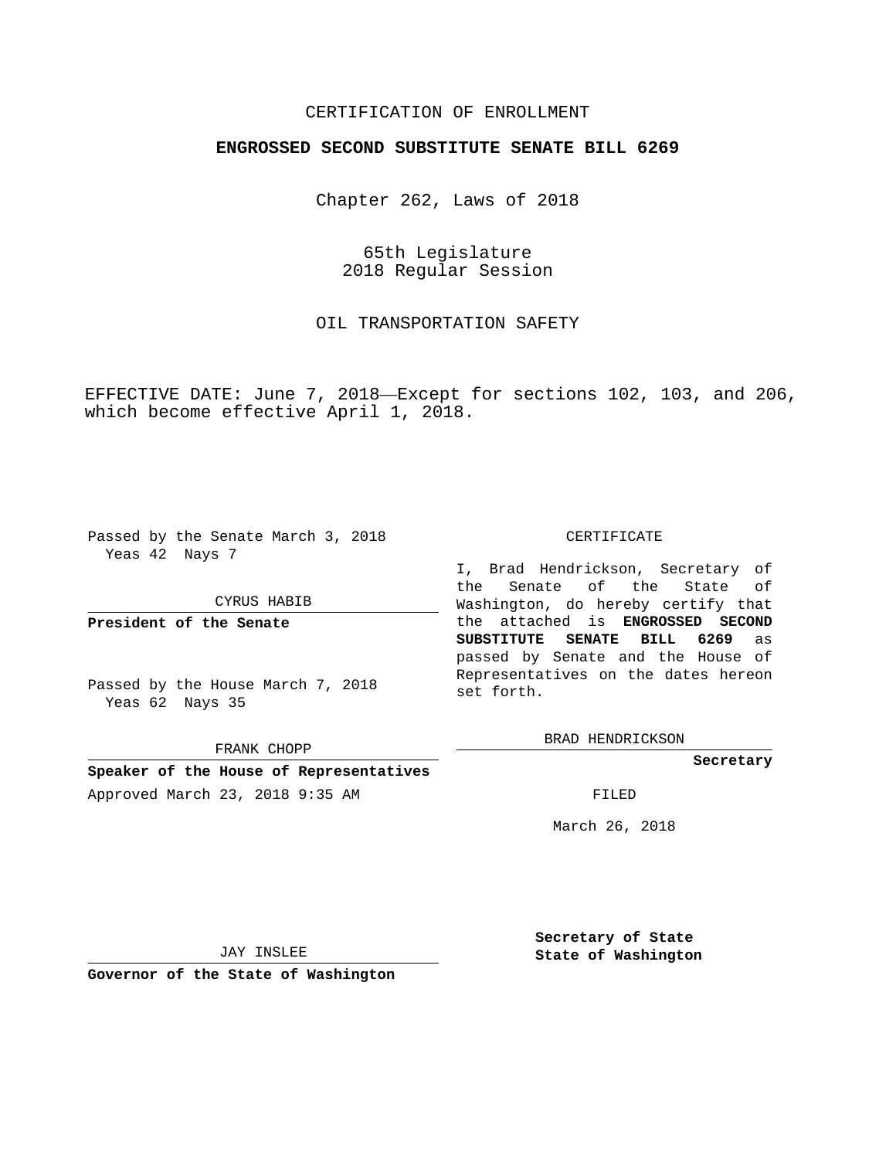## CERTIFICATION OF ENROLLMENT

### **ENGROSSED SECOND SUBSTITUTE SENATE BILL 6269**

Chapter 262, Laws of 2018

65th Legislature 2018 Regular Session

OIL TRANSPORTATION SAFETY

EFFECTIVE DATE: June 7, 2018—Except for sections 102, 103, and 206, which become effective April 1, 2018.

Passed by the Senate March 3, 2018 Yeas 42 Nays 7

#### CYRUS HABIB

**President of the Senate**

Passed by the House March 7, 2018 Yeas 62 Nays 35

FRANK CHOPP

**Speaker of the House of Representatives**

Approved March 23, 2018 9:35 AM FILED

### CERTIFICATE

I, Brad Hendrickson, Secretary of the Senate of the State of Washington, do hereby certify that the attached is **ENGROSSED SECOND SUBSTITUTE SENATE BILL 6269** as passed by Senate and the House of Representatives on the dates hereon set forth.

BRAD HENDRICKSON

**Secretary**

March 26, 2018

JAY INSLEE

**Governor of the State of Washington**

**Secretary of State State of Washington**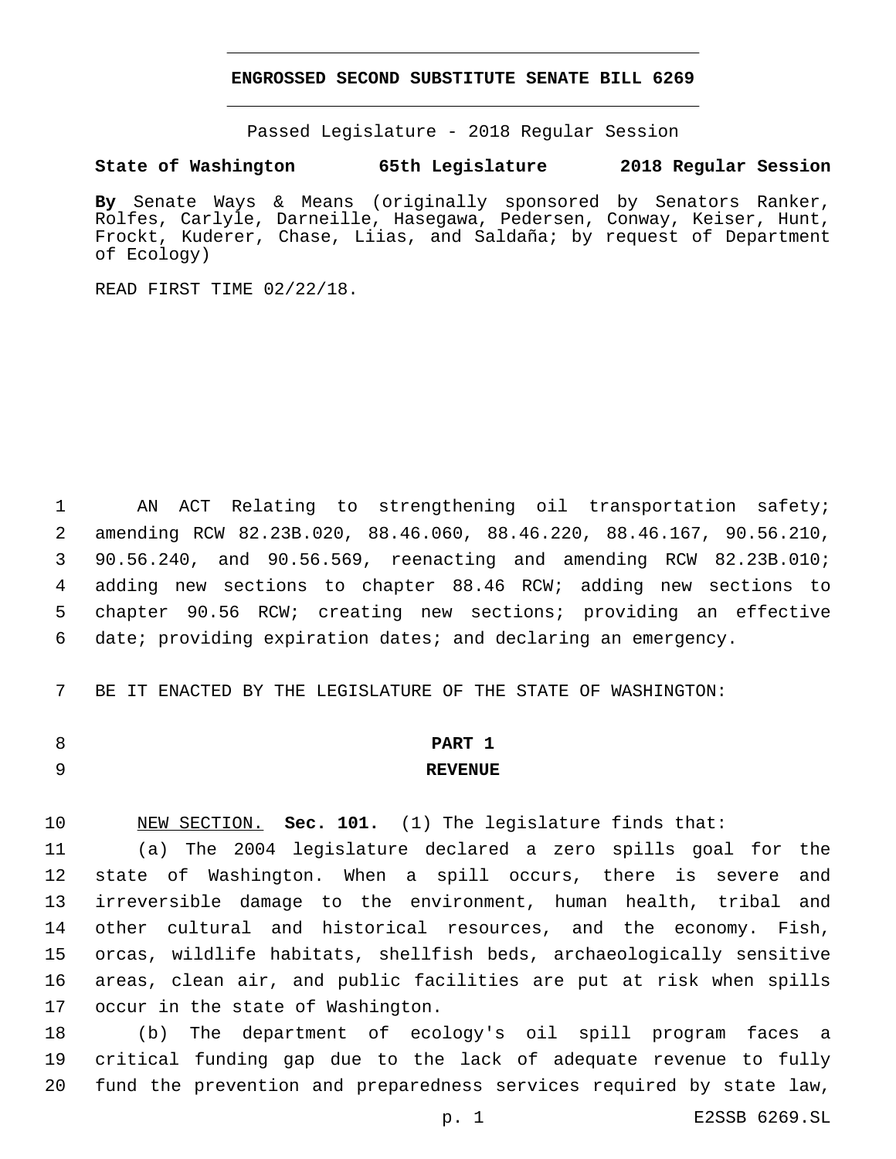### **ENGROSSED SECOND SUBSTITUTE SENATE BILL 6269**

Passed Legislature - 2018 Regular Session

## **State of Washington 65th Legislature 2018 Regular Session**

**By** Senate Ways & Means (originally sponsored by Senators Ranker, Rolfes, Carlyle, Darneille, Hasegawa, Pedersen, Conway, Keiser, Hunt, Frockt, Kuderer, Chase, Liias, and Saldaña; by request of Department of Ecology)

READ FIRST TIME 02/22/18.

 AN ACT Relating to strengthening oil transportation safety; amending RCW 82.23B.020, 88.46.060, 88.46.220, 88.46.167, 90.56.210, 90.56.240, and 90.56.569, reenacting and amending RCW 82.23B.010; adding new sections to chapter 88.46 RCW; adding new sections to chapter 90.56 RCW; creating new sections; providing an effective date; providing expiration dates; and declaring an emergency.

BE IT ENACTED BY THE LEGISLATURE OF THE STATE OF WASHINGTON:

# **PART 1 REVENUE**

NEW SECTION. **Sec. 101.** (1) The legislature finds that:

 (a) The 2004 legislature declared a zero spills goal for the state of Washington. When a spill occurs, there is severe and irreversible damage to the environment, human health, tribal and other cultural and historical resources, and the economy. Fish, orcas, wildlife habitats, shellfish beds, archaeologically sensitive areas, clean air, and public facilities are put at risk when spills 17 occur in the state of Washington.

 (b) The department of ecology's oil spill program faces a critical funding gap due to the lack of adequate revenue to fully fund the prevention and preparedness services required by state law,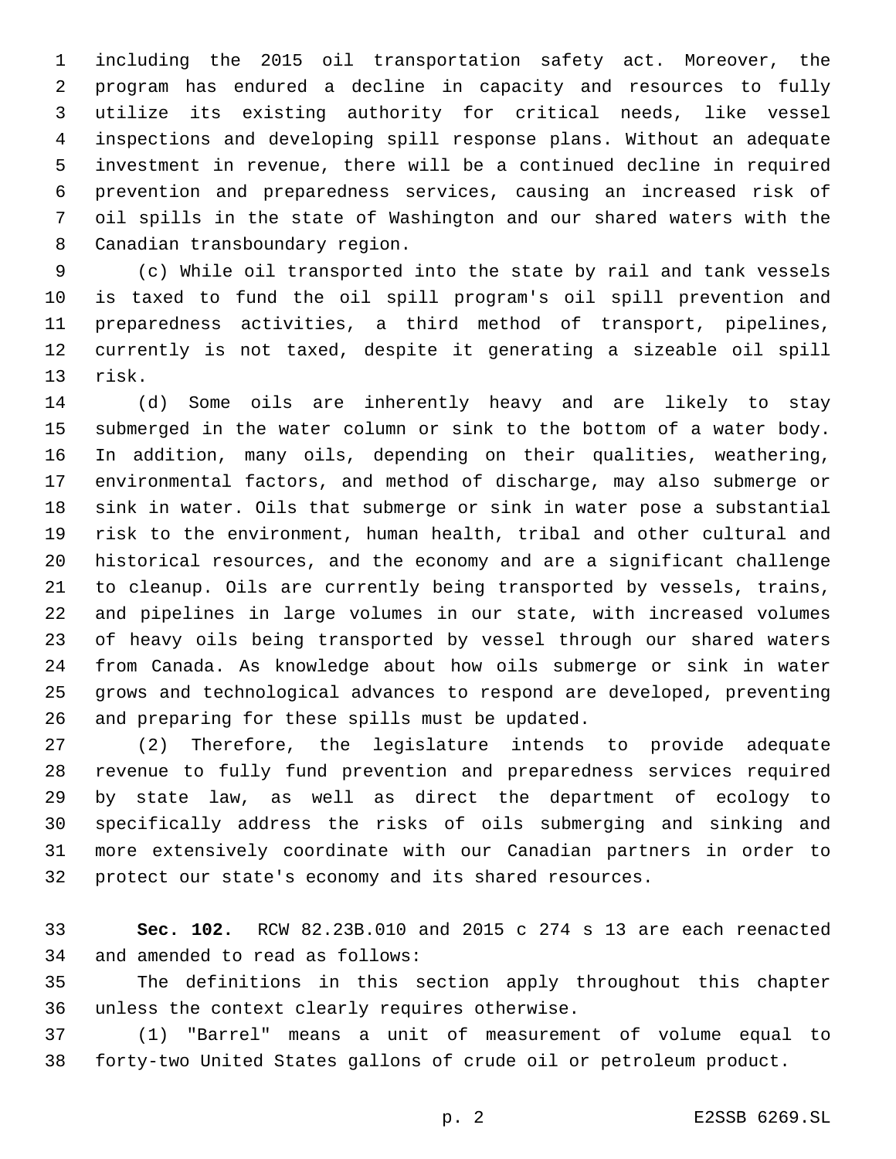including the 2015 oil transportation safety act. Moreover, the program has endured a decline in capacity and resources to fully utilize its existing authority for critical needs, like vessel inspections and developing spill response plans. Without an adequate investment in revenue, there will be a continued decline in required prevention and preparedness services, causing an increased risk of oil spills in the state of Washington and our shared waters with the 8 Canadian transboundary region.

 (c) While oil transported into the state by rail and tank vessels is taxed to fund the oil spill program's oil spill prevention and preparedness activities, a third method of transport, pipelines, currently is not taxed, despite it generating a sizeable oil spill 13 risk.

 (d) Some oils are inherently heavy and are likely to stay submerged in the water column or sink to the bottom of a water body. In addition, many oils, depending on their qualities, weathering, environmental factors, and method of discharge, may also submerge or sink in water. Oils that submerge or sink in water pose a substantial risk to the environment, human health, tribal and other cultural and historical resources, and the economy and are a significant challenge to cleanup. Oils are currently being transported by vessels, trains, and pipelines in large volumes in our state, with increased volumes of heavy oils being transported by vessel through our shared waters from Canada. As knowledge about how oils submerge or sink in water grows and technological advances to respond are developed, preventing 26 and preparing for these spills must be updated.

 (2) Therefore, the legislature intends to provide adequate revenue to fully fund prevention and preparedness services required by state law, as well as direct the department of ecology to specifically address the risks of oils submerging and sinking and more extensively coordinate with our Canadian partners in order to protect our state's economy and its shared resources.

 **Sec. 102.** RCW 82.23B.010 and 2015 c 274 s 13 are each reenacted 34 and amended to read as follows:

 The definitions in this section apply throughout this chapter 36 unless the context clearly requires otherwise.

 (1) "Barrel" means a unit of measurement of volume equal to forty-two United States gallons of crude oil or petroleum product.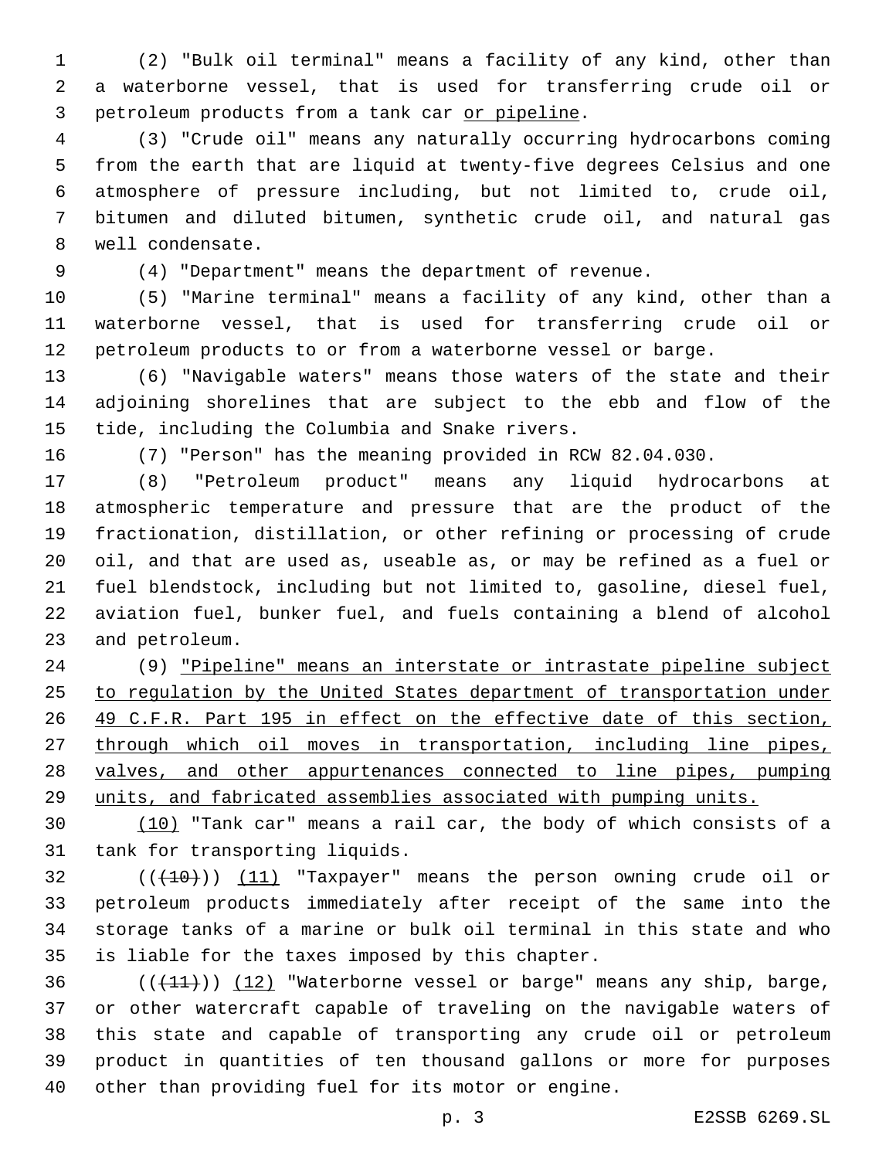(2) "Bulk oil terminal" means a facility of any kind, other than a waterborne vessel, that is used for transferring crude oil or 3 petroleum products from a tank car or pipeline.

 (3) "Crude oil" means any naturally occurring hydrocarbons coming from the earth that are liquid at twenty-five degrees Celsius and one atmosphere of pressure including, but not limited to, crude oil, bitumen and diluted bitumen, synthetic crude oil, and natural gas 8 well condensate.

(4) "Department" means the department of revenue.

 (5) "Marine terminal" means a facility of any kind, other than a waterborne vessel, that is used for transferring crude oil or petroleum products to or from a waterborne vessel or barge.

 (6) "Navigable waters" means those waters of the state and their adjoining shorelines that are subject to the ebb and flow of the 15 tide, including the Columbia and Snake rivers.

(7) "Person" has the meaning provided in RCW 82.04.030.

 (8) "Petroleum product" means any liquid hydrocarbons at atmospheric temperature and pressure that are the product of the fractionation, distillation, or other refining or processing of crude oil, and that are used as, useable as, or may be refined as a fuel or fuel blendstock, including but not limited to, gasoline, diesel fuel, aviation fuel, bunker fuel, and fuels containing a blend of alcohol 23 and petroleum.

 (9) "Pipeline" means an interstate or intrastate pipeline subject to regulation by the United States department of transportation under 26 49 C.F.R. Part 195 in effect on the effective date of this section, 27 through which oil moves in transportation, including line pipes, 28 valves, and other appurtenances connected to line pipes, pumping units, and fabricated assemblies associated with pumping units.

 (10) "Tank car" means a rail car, the body of which consists of a 31 tank for transporting liquids.

32 (( $(10)$ )) (11) "Taxpayer" means the person owning crude oil or petroleum products immediately after receipt of the same into the storage tanks of a marine or bulk oil terminal in this state and who 35 is liable for the taxes imposed by this chapter.

 ( $(\overline{+11})$ )  $(12)$  "Waterborne vessel or barge" means any ship, barge, or other watercraft capable of traveling on the navigable waters of this state and capable of transporting any crude oil or petroleum product in quantities of ten thousand gallons or more for purposes other than providing fuel for its motor or engine.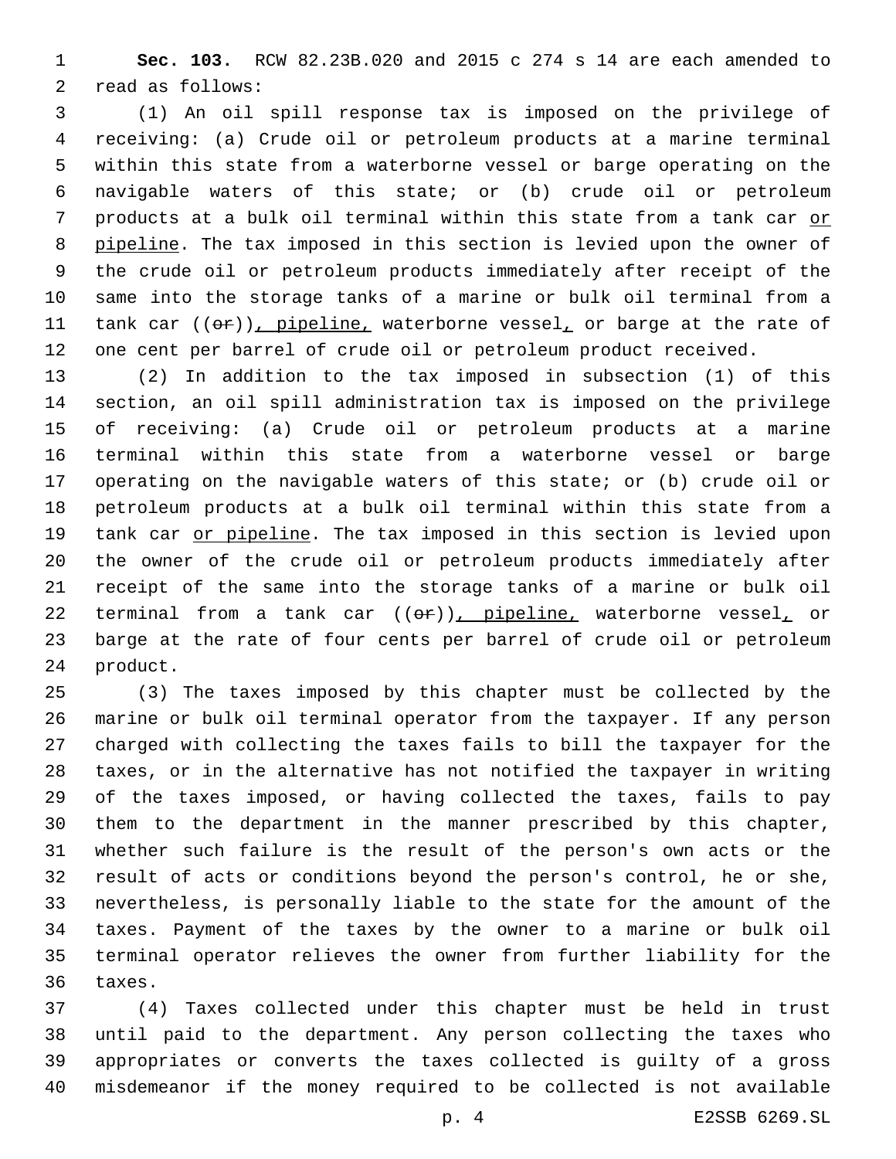**Sec. 103.** RCW 82.23B.020 and 2015 c 274 s 14 are each amended to 2 read as follows:

 (1) An oil spill response tax is imposed on the privilege of receiving: (a) Crude oil or petroleum products at a marine terminal within this state from a waterborne vessel or barge operating on the navigable waters of this state; or (b) crude oil or petroleum products at a bulk oil terminal within this state from a tank car or pipeline. The tax imposed in this section is levied upon the owner of the crude oil or petroleum products immediately after receipt of the same into the storage tanks of a marine or bulk oil terminal from a 11 tank car  $((eF))$ , pipeline, waterborne vessel, or barge at the rate of one cent per barrel of crude oil or petroleum product received.

 (2) In addition to the tax imposed in subsection (1) of this section, an oil spill administration tax is imposed on the privilege of receiving: (a) Crude oil or petroleum products at a marine terminal within this state from a waterborne vessel or barge operating on the navigable waters of this state; or (b) crude oil or petroleum products at a bulk oil terminal within this state from a 19 tank car or pipeline. The tax imposed in this section is levied upon the owner of the crude oil or petroleum products immediately after receipt of the same into the storage tanks of a marine or bulk oil 22 terminal from a tank car  $((\theta \cdot \hat{r}))$ , pipeline, waterborne vessel, or barge at the rate of four cents per barrel of crude oil or petroleum 24 product.

 (3) The taxes imposed by this chapter must be collected by the marine or bulk oil terminal operator from the taxpayer. If any person charged with collecting the taxes fails to bill the taxpayer for the taxes, or in the alternative has not notified the taxpayer in writing of the taxes imposed, or having collected the taxes, fails to pay them to the department in the manner prescribed by this chapter, whether such failure is the result of the person's own acts or the result of acts or conditions beyond the person's control, he or she, nevertheless, is personally liable to the state for the amount of the taxes. Payment of the taxes by the owner to a marine or bulk oil terminal operator relieves the owner from further liability for the 36 taxes.

 (4) Taxes collected under this chapter must be held in trust until paid to the department. Any person collecting the taxes who appropriates or converts the taxes collected is guilty of a gross misdemeanor if the money required to be collected is not available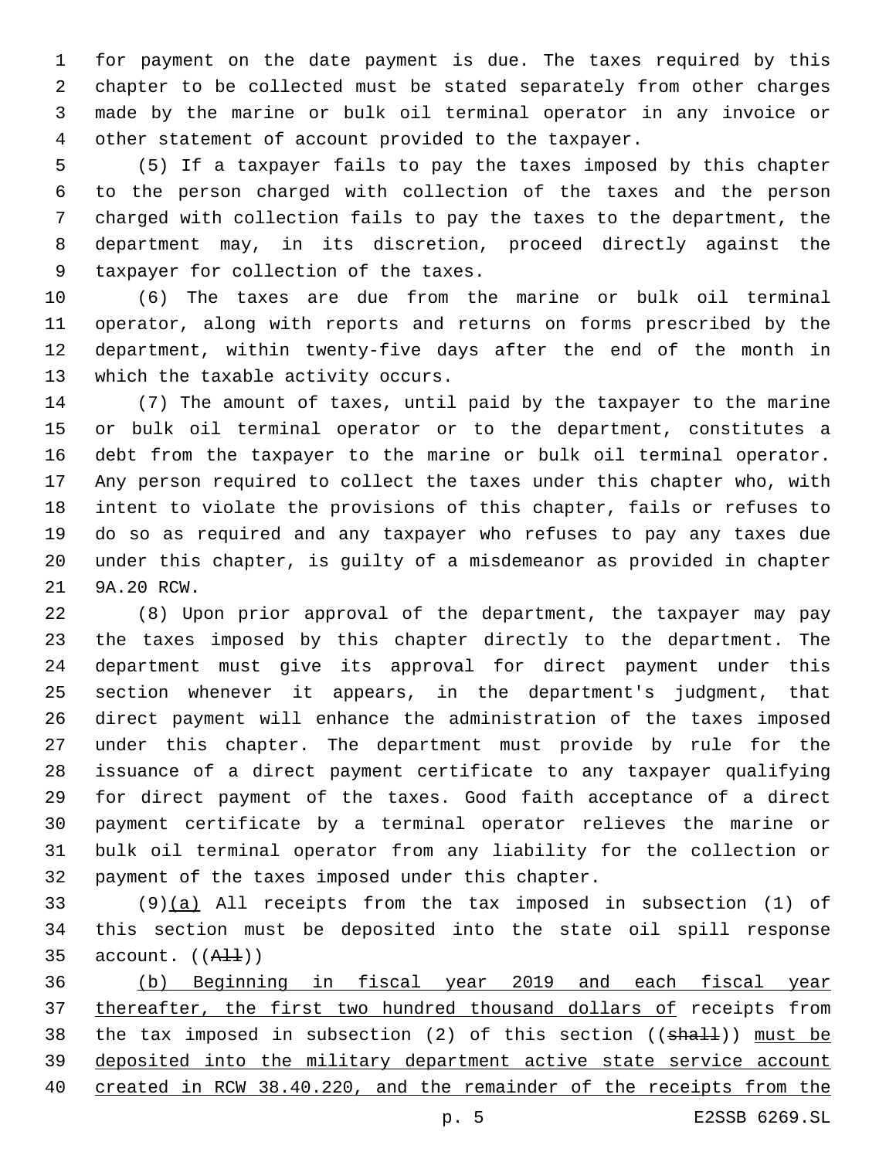for payment on the date payment is due. The taxes required by this chapter to be collected must be stated separately from other charges made by the marine or bulk oil terminal operator in any invoice or other statement of account provided to the taxpayer.

 (5) If a taxpayer fails to pay the taxes imposed by this chapter to the person charged with collection of the taxes and the person charged with collection fails to pay the taxes to the department, the department may, in its discretion, proceed directly against the 9 taxpayer for collection of the taxes.

 (6) The taxes are due from the marine or bulk oil terminal operator, along with reports and returns on forms prescribed by the department, within twenty-five days after the end of the month in 13 which the taxable activity occurs.

 (7) The amount of taxes, until paid by the taxpayer to the marine or bulk oil terminal operator or to the department, constitutes a debt from the taxpayer to the marine or bulk oil terminal operator. Any person required to collect the taxes under this chapter who, with intent to violate the provisions of this chapter, fails or refuses to do so as required and any taxpayer who refuses to pay any taxes due under this chapter, is guilty of a misdemeanor as provided in chapter 21 9A.20 RCW.

 (8) Upon prior approval of the department, the taxpayer may pay the taxes imposed by this chapter directly to the department. The department must give its approval for direct payment under this section whenever it appears, in the department's judgment, that direct payment will enhance the administration of the taxes imposed under this chapter. The department must provide by rule for the issuance of a direct payment certificate to any taxpayer qualifying for direct payment of the taxes. Good faith acceptance of a direct payment certificate by a terminal operator relieves the marine or bulk oil terminal operator from any liability for the collection or 32 payment of the taxes imposed under this chapter.

 (9)(a) All receipts from the tax imposed in subsection (1) of this section must be deposited into the state oil spill response 35  $account. ((A11))$ 

 (b) Beginning in fiscal year 2019 and each fiscal year 37 thereafter, the first two hundred thousand dollars of receipts from 38 the tax imposed in subsection (2) of this section (( $shall$ )) must be deposited into the military department active state service account created in RCW 38.40.220, and the remainder of the receipts from the

p. 5 E2SSB 6269.SL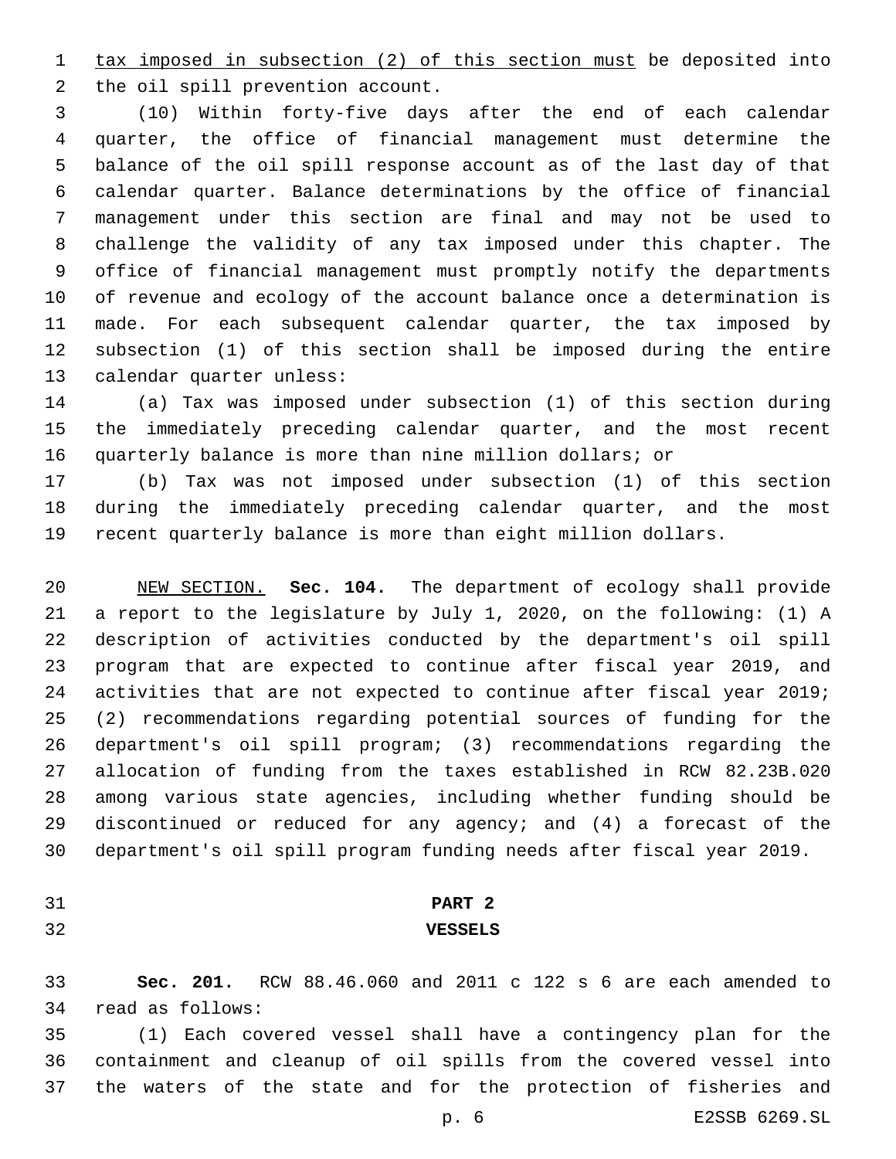tax imposed in subsection (2) of this section must be deposited into 2 the oil spill prevention account.

 (10) Within forty-five days after the end of each calendar quarter, the office of financial management must determine the balance of the oil spill response account as of the last day of that calendar quarter. Balance determinations by the office of financial management under this section are final and may not be used to challenge the validity of any tax imposed under this chapter. The office of financial management must promptly notify the departments of revenue and ecology of the account balance once a determination is made. For each subsequent calendar quarter, the tax imposed by subsection (1) of this section shall be imposed during the entire 13 calendar quarter unless:

 (a) Tax was imposed under subsection (1) of this section during the immediately preceding calendar quarter, and the most recent quarterly balance is more than nine million dollars; or

 (b) Tax was not imposed under subsection (1) of this section during the immediately preceding calendar quarter, and the most recent quarterly balance is more than eight million dollars.

 NEW SECTION. **Sec. 104.** The department of ecology shall provide a report to the legislature by July 1, 2020, on the following: (1) A description of activities conducted by the department's oil spill program that are expected to continue after fiscal year 2019, and activities that are not expected to continue after fiscal year 2019; (2) recommendations regarding potential sources of funding for the department's oil spill program; (3) recommendations regarding the allocation of funding from the taxes established in RCW 82.23B.020 among various state agencies, including whether funding should be discontinued or reduced for any agency; and (4) a forecast of the department's oil spill program funding needs after fiscal year 2019.

# **PART 2 VESSELS**

 **Sec. 201.** RCW 88.46.060 and 2011 c 122 s 6 are each amended to 34 read as follows:

 (1) Each covered vessel shall have a contingency plan for the containment and cleanup of oil spills from the covered vessel into the waters of the state and for the protection of fisheries and

p. 6 E2SSB 6269.SL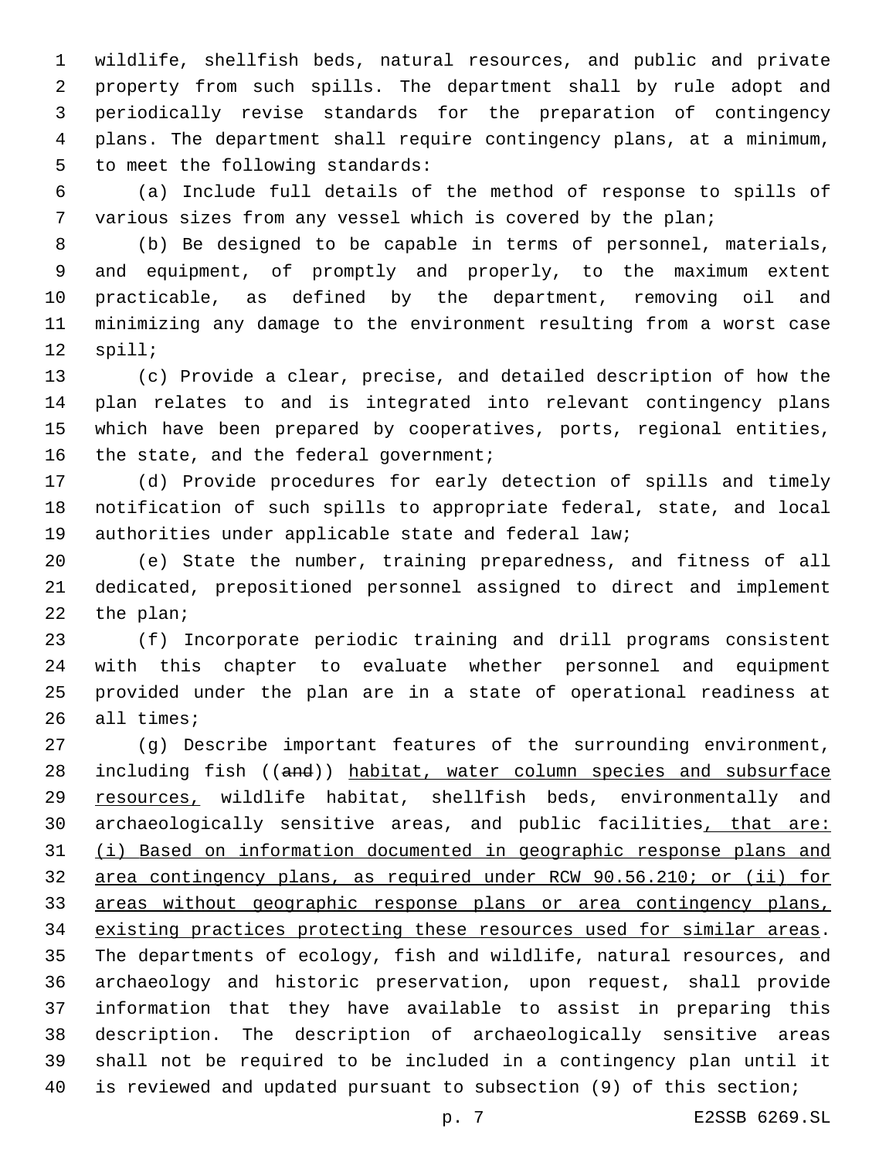wildlife, shellfish beds, natural resources, and public and private property from such spills. The department shall by rule adopt and periodically revise standards for the preparation of contingency plans. The department shall require contingency plans, at a minimum, 5 to meet the following standards:

 (a) Include full details of the method of response to spills of various sizes from any vessel which is covered by the plan;

 (b) Be designed to be capable in terms of personnel, materials, and equipment, of promptly and properly, to the maximum extent practicable, as defined by the department, removing oil and minimizing any damage to the environment resulting from a worst case 12 spill;

 (c) Provide a clear, precise, and detailed description of how the plan relates to and is integrated into relevant contingency plans which have been prepared by cooperatives, ports, regional entities, 16 the state, and the federal government;

 (d) Provide procedures for early detection of spills and timely notification of such spills to appropriate federal, state, and local authorities under applicable state and federal law;

 (e) State the number, training preparedness, and fitness of all dedicated, prepositioned personnel assigned to direct and implement 22 the plan;

 (f) Incorporate periodic training and drill programs consistent with this chapter to evaluate whether personnel and equipment provided under the plan are in a state of operational readiness at 26 all times;

 (g) Describe important features of the surrounding environment, including fish ((and)) habitat, water column species and subsurface resources, wildlife habitat, shellfish beds, environmentally and 30 archaeologically sensitive areas, and public facilities, that are: (i) Based on information documented in geographic response plans and area contingency plans, as required under RCW 90.56.210; or (ii) for areas without geographic response plans or area contingency plans, existing practices protecting these resources used for similar areas. The departments of ecology, fish and wildlife, natural resources, and archaeology and historic preservation, upon request, shall provide information that they have available to assist in preparing this description. The description of archaeologically sensitive areas shall not be required to be included in a contingency plan until it is reviewed and updated pursuant to subsection (9) of this section;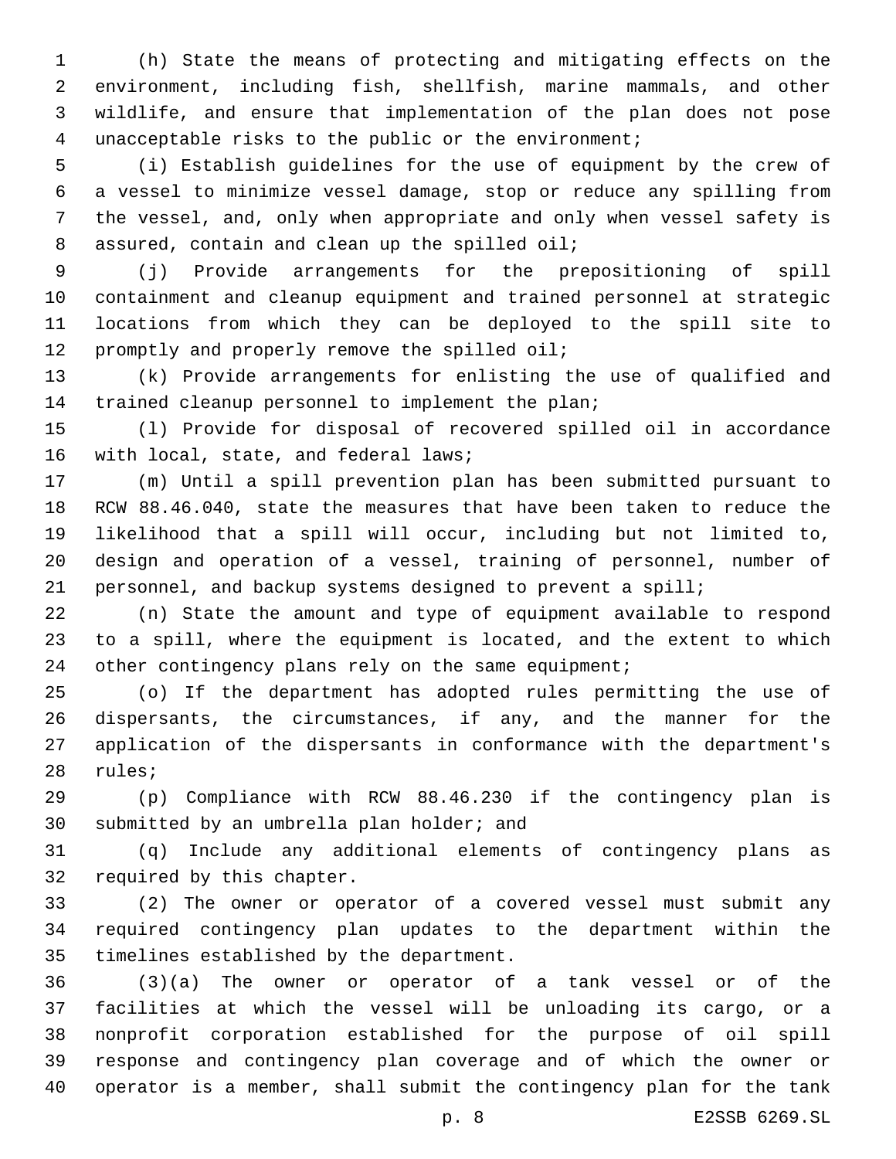(h) State the means of protecting and mitigating effects on the environment, including fish, shellfish, marine mammals, and other wildlife, and ensure that implementation of the plan does not pose unacceptable risks to the public or the environment;

 (i) Establish guidelines for the use of equipment by the crew of a vessel to minimize vessel damage, stop or reduce any spilling from the vessel, and, only when appropriate and only when vessel safety is 8 assured, contain and clean up the spilled oil;

 (j) Provide arrangements for the prepositioning of spill containment and cleanup equipment and trained personnel at strategic locations from which they can be deployed to the spill site to 12 promptly and properly remove the spilled oil;

 (k) Provide arrangements for enlisting the use of qualified and 14 trained cleanup personnel to implement the plan;

 (l) Provide for disposal of recovered spilled oil in accordance 16 with local, state, and federal laws;

 (m) Until a spill prevention plan has been submitted pursuant to RCW 88.46.040, state the measures that have been taken to reduce the likelihood that a spill will occur, including but not limited to, design and operation of a vessel, training of personnel, number of personnel, and backup systems designed to prevent a spill;

 (n) State the amount and type of equipment available to respond to a spill, where the equipment is located, and the extent to which 24 other contingency plans rely on the same equipment;

 (o) If the department has adopted rules permitting the use of dispersants, the circumstances, if any, and the manner for the application of the dispersants in conformance with the department's 28 rules;

 (p) Compliance with RCW 88.46.230 if the contingency plan is 30 submitted by an umbrella plan holder; and

 (q) Include any additional elements of contingency plans as 32 required by this chapter.

 (2) The owner or operator of a covered vessel must submit any required contingency plan updates to the department within the 35 timelines established by the department.

 (3)(a) The owner or operator of a tank vessel or of the facilities at which the vessel will be unloading its cargo, or a nonprofit corporation established for the purpose of oil spill response and contingency plan coverage and of which the owner or operator is a member, shall submit the contingency plan for the tank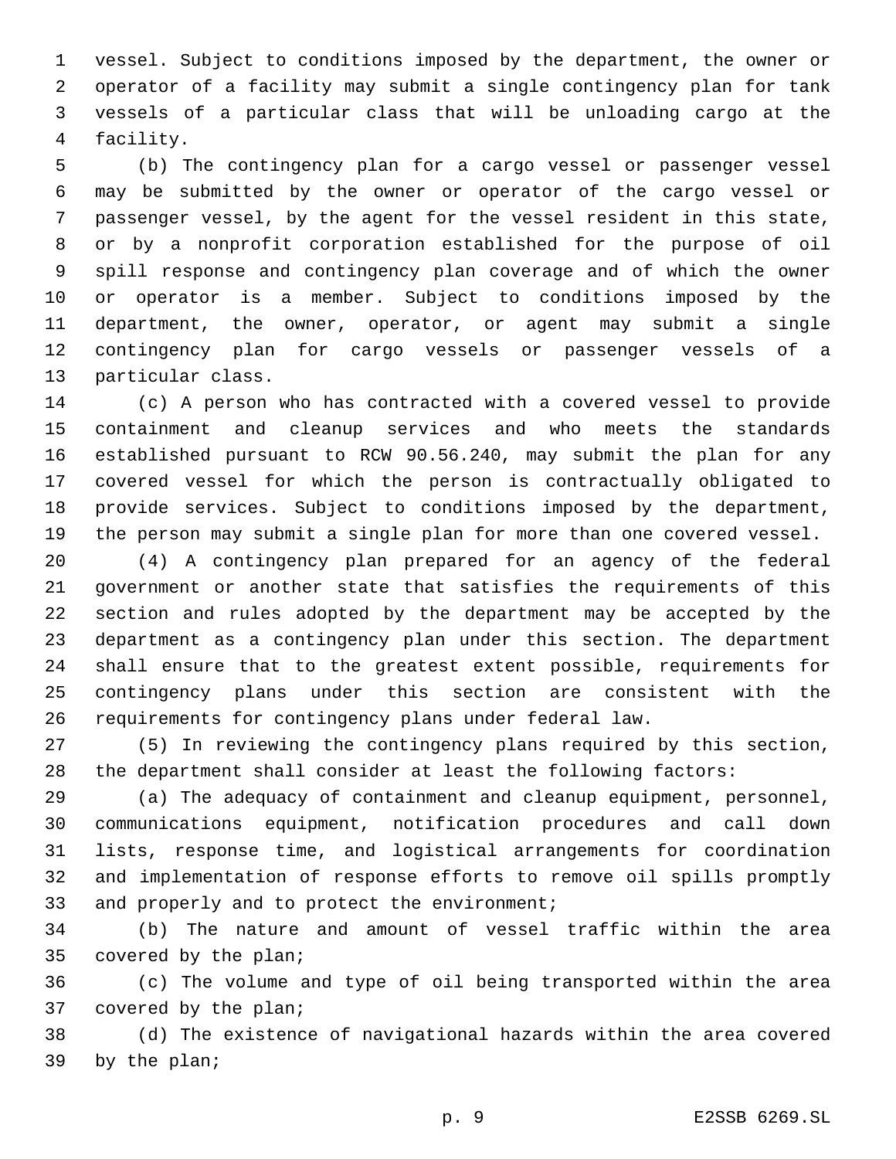vessel. Subject to conditions imposed by the department, the owner or operator of a facility may submit a single contingency plan for tank vessels of a particular class that will be unloading cargo at the 4 facility.

 (b) The contingency plan for a cargo vessel or passenger vessel may be submitted by the owner or operator of the cargo vessel or passenger vessel, by the agent for the vessel resident in this state, or by a nonprofit corporation established for the purpose of oil spill response and contingency plan coverage and of which the owner or operator is a member. Subject to conditions imposed by the department, the owner, operator, or agent may submit a single contingency plan for cargo vessels or passenger vessels of a 13 particular class.

 (c) A person who has contracted with a covered vessel to provide containment and cleanup services and who meets the standards established pursuant to RCW 90.56.240, may submit the plan for any covered vessel for which the person is contractually obligated to provide services. Subject to conditions imposed by the department, the person may submit a single plan for more than one covered vessel.

 (4) A contingency plan prepared for an agency of the federal government or another state that satisfies the requirements of this section and rules adopted by the department may be accepted by the department as a contingency plan under this section. The department shall ensure that to the greatest extent possible, requirements for contingency plans under this section are consistent with the requirements for contingency plans under federal law.

 (5) In reviewing the contingency plans required by this section, the department shall consider at least the following factors:

 (a) The adequacy of containment and cleanup equipment, personnel, communications equipment, notification procedures and call down lists, response time, and logistical arrangements for coordination and implementation of response efforts to remove oil spills promptly 33 and properly and to protect the environment;

 (b) The nature and amount of vessel traffic within the area 35 covered by the plan;

 (c) The volume and type of oil being transported within the area 37 covered by the plan;

 (d) The existence of navigational hazards within the area covered 39 by the plan;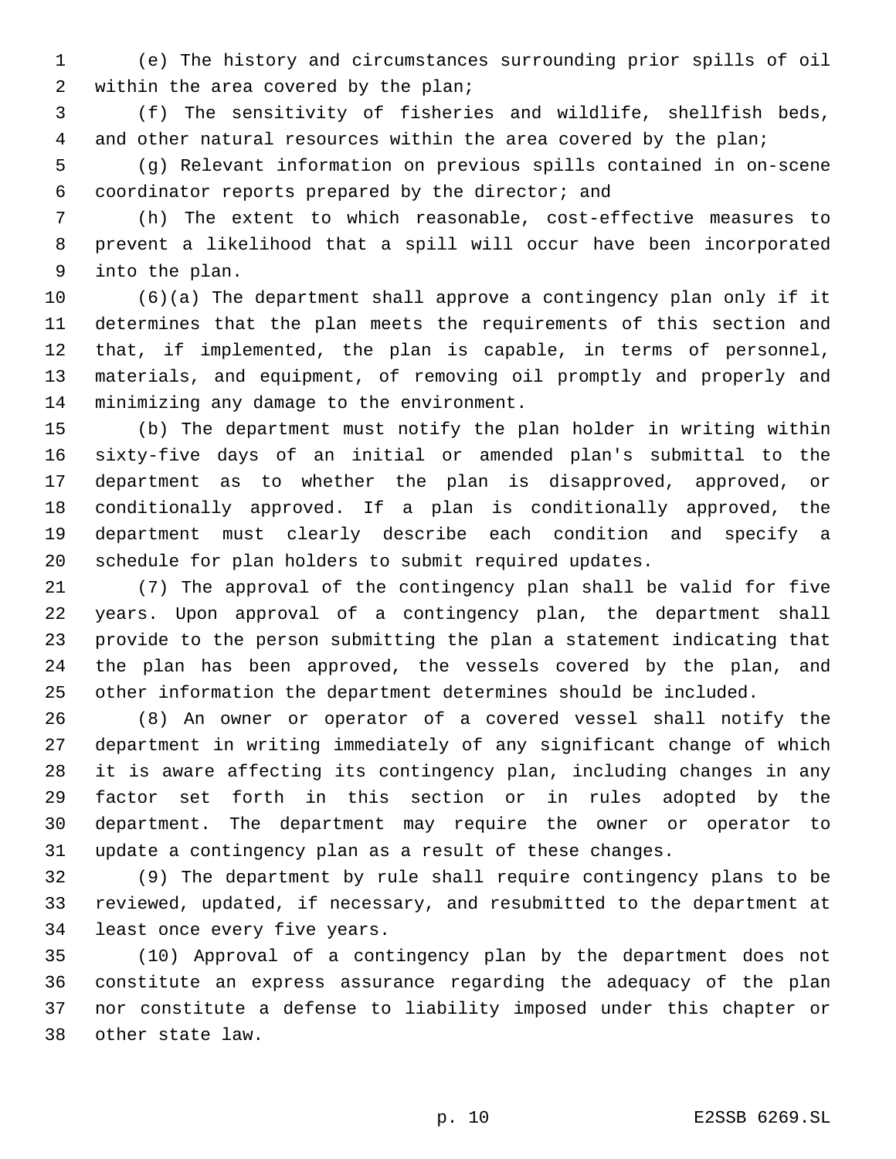(e) The history and circumstances surrounding prior spills of oil 2 within the area covered by the plan;

 (f) The sensitivity of fisheries and wildlife, shellfish beds, 4 and other natural resources within the area covered by the plan;

 (g) Relevant information on previous spills contained in on-scene coordinator reports prepared by the director; and6

 (h) The extent to which reasonable, cost-effective measures to prevent a likelihood that a spill will occur have been incorporated 9 into the plan.

 (6)(a) The department shall approve a contingency plan only if it determines that the plan meets the requirements of this section and that, if implemented, the plan is capable, in terms of personnel, materials, and equipment, of removing oil promptly and properly and 14 minimizing any damage to the environment.

 (b) The department must notify the plan holder in writing within sixty-five days of an initial or amended plan's submittal to the department as to whether the plan is disapproved, approved, or conditionally approved. If a plan is conditionally approved, the department must clearly describe each condition and specify a schedule for plan holders to submit required updates.

 (7) The approval of the contingency plan shall be valid for five years. Upon approval of a contingency plan, the department shall provide to the person submitting the plan a statement indicating that the plan has been approved, the vessels covered by the plan, and other information the department determines should be included.

 (8) An owner or operator of a covered vessel shall notify the department in writing immediately of any significant change of which it is aware affecting its contingency plan, including changes in any factor set forth in this section or in rules adopted by the department. The department may require the owner or operator to update a contingency plan as a result of these changes.

 (9) The department by rule shall require contingency plans to be reviewed, updated, if necessary, and resubmitted to the department at 34 least once every five years.

 (10) Approval of a contingency plan by the department does not constitute an express assurance regarding the adequacy of the plan nor constitute a defense to liability imposed under this chapter or 38 other state law.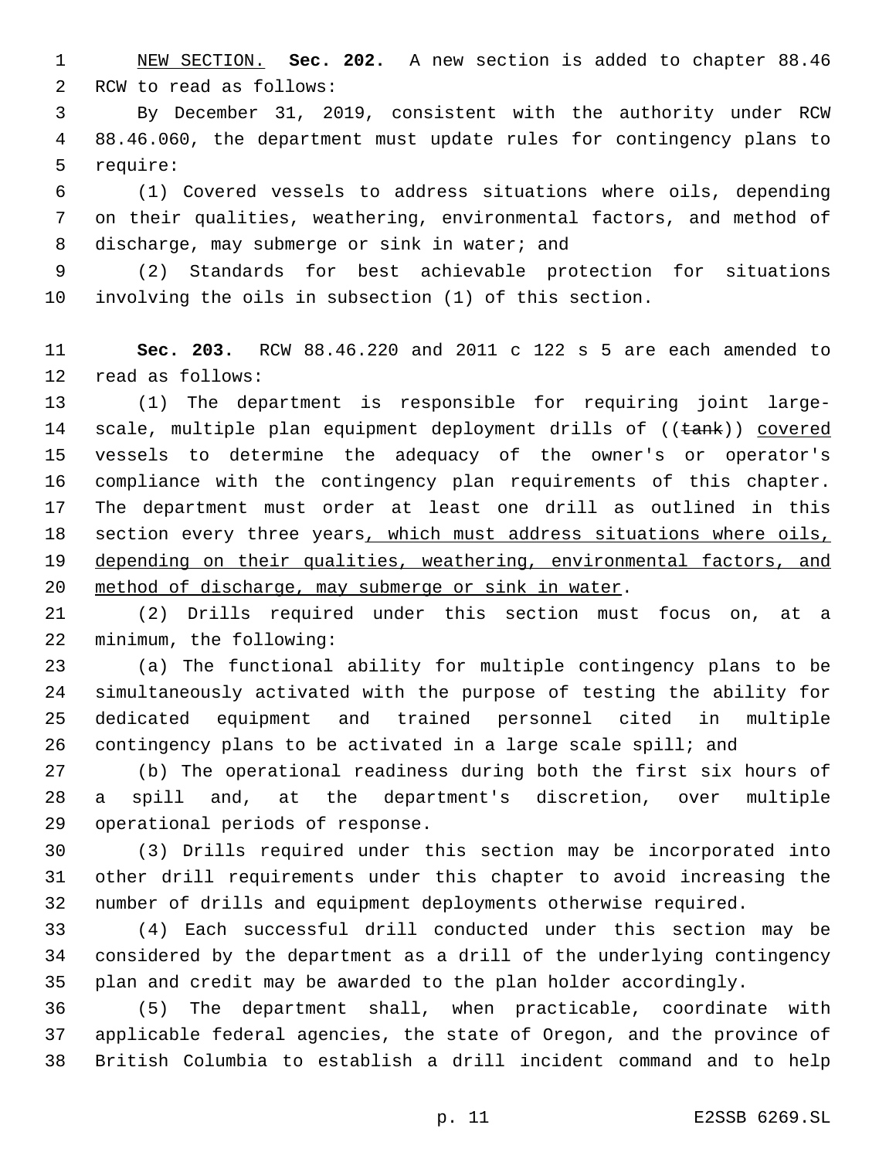NEW SECTION. **Sec. 202.** A new section is added to chapter 88.46 2 RCW to read as follows:

 By December 31, 2019, consistent with the authority under RCW 88.46.060, the department must update rules for contingency plans to 5 require:

 (1) Covered vessels to address situations where oils, depending on their qualities, weathering, environmental factors, and method of 8 discharge, may submerge or sink in water; and

 (2) Standards for best achievable protection for situations involving the oils in subsection (1) of this section.

 **Sec. 203.** RCW 88.46.220 and 2011 c 122 s 5 are each amended to 12 read as follows:

 (1) The department is responsible for requiring joint large-14 scale, multiple plan equipment deployment drills of ((tank)) covered vessels to determine the adequacy of the owner's or operator's compliance with the contingency plan requirements of this chapter. The department must order at least one drill as outlined in this 18 section every three years, which must address situations where oils, depending on their qualities, weathering, environmental factors, and method of discharge, may submerge or sink in water.

 (2) Drills required under this section must focus on, at a 22 minimum, the following:

 (a) The functional ability for multiple contingency plans to be simultaneously activated with the purpose of testing the ability for dedicated equipment and trained personnel cited in multiple contingency plans to be activated in a large scale spill; and

 (b) The operational readiness during both the first six hours of a spill and, at the department's discretion, over multiple 29 operational periods of response.

 (3) Drills required under this section may be incorporated into other drill requirements under this chapter to avoid increasing the number of drills and equipment deployments otherwise required.

 (4) Each successful drill conducted under this section may be considered by the department as a drill of the underlying contingency plan and credit may be awarded to the plan holder accordingly.

 (5) The department shall, when practicable, coordinate with applicable federal agencies, the state of Oregon, and the province of British Columbia to establish a drill incident command and to help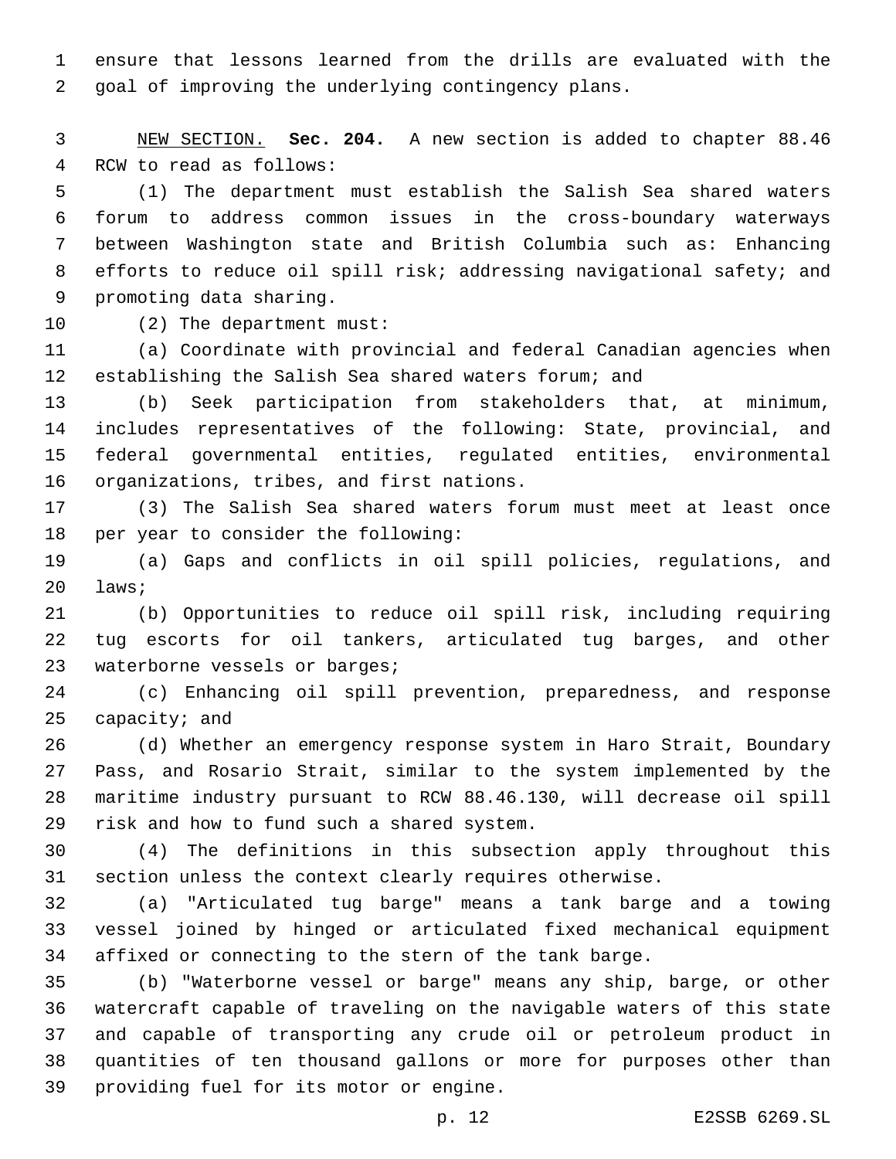ensure that lessons learned from the drills are evaluated with the goal of improving the underlying contingency plans.

 NEW SECTION. **Sec. 204.** A new section is added to chapter 88.46 4 RCW to read as follows:

 (1) The department must establish the Salish Sea shared waters forum to address common issues in the cross-boundary waterways between Washington state and British Columbia such as: Enhancing efforts to reduce oil spill risk; addressing navigational safety; and 9 promoting data sharing.

10 (2) The department must:

 (a) Coordinate with provincial and federal Canadian agencies when establishing the Salish Sea shared waters forum; and

 (b) Seek participation from stakeholders that, at minimum, includes representatives of the following: State, provincial, and federal governmental entities, regulated entities, environmental 16 organizations, tribes, and first nations.

 (3) The Salish Sea shared waters forum must meet at least once 18 per year to consider the following:

 (a) Gaps and conflicts in oil spill policies, regulations, and 20 laws;

 (b) Opportunities to reduce oil spill risk, including requiring tug escorts for oil tankers, articulated tug barges, and other 23 waterborne vessels or barges;

 (c) Enhancing oil spill prevention, preparedness, and response capacity; and

 (d) Whether an emergency response system in Haro Strait, Boundary Pass, and Rosario Strait, similar to the system implemented by the maritime industry pursuant to RCW 88.46.130, will decrease oil spill 29 risk and how to fund such a shared system.

 (4) The definitions in this subsection apply throughout this section unless the context clearly requires otherwise.

 (a) "Articulated tug barge" means a tank barge and a towing vessel joined by hinged or articulated fixed mechanical equipment affixed or connecting to the stern of the tank barge.

 (b) "Waterborne vessel or barge" means any ship, barge, or other watercraft capable of traveling on the navigable waters of this state and capable of transporting any crude oil or petroleum product in quantities of ten thousand gallons or more for purposes other than 39 providing fuel for its motor or engine.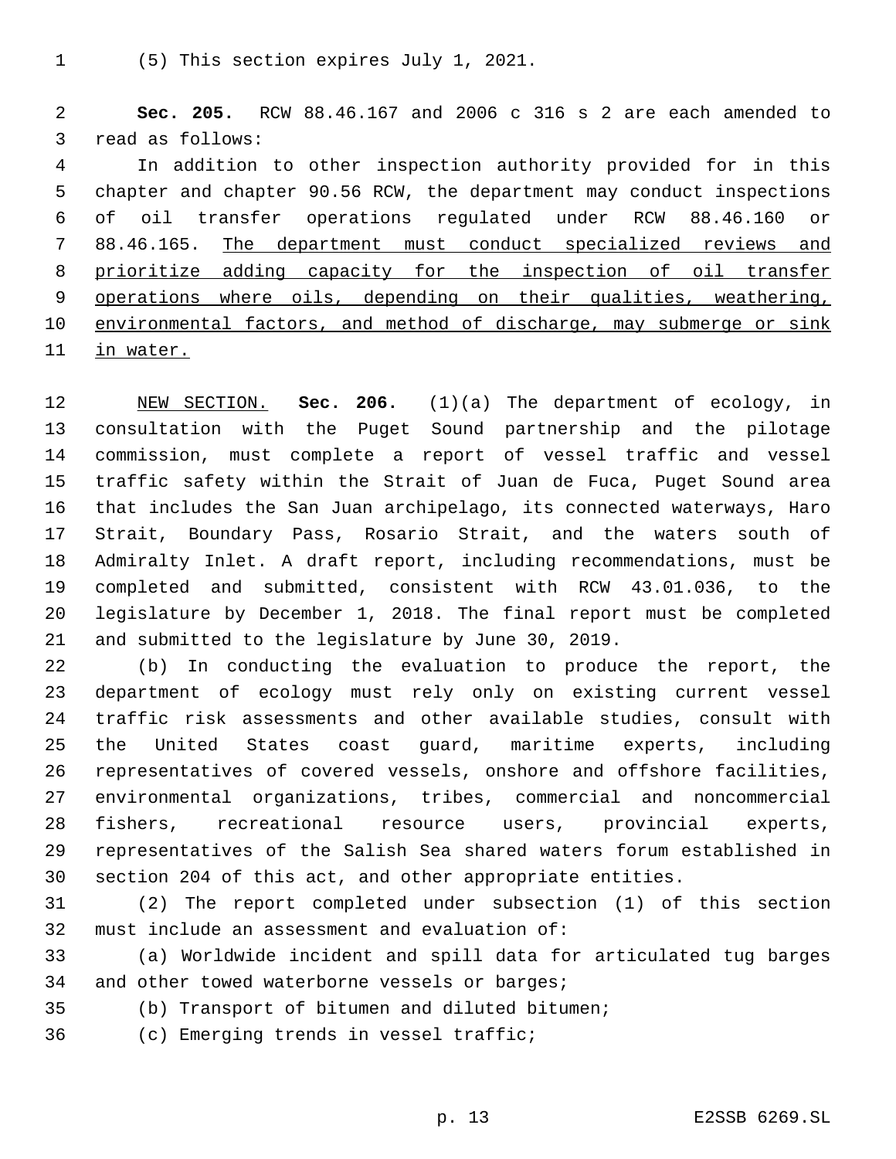1 (5) This section expires July 1, 2021.

 **Sec. 205.** RCW 88.46.167 and 2006 c 316 s 2 are each amended to 3 read as follows:

 In addition to other inspection authority provided for in this chapter and chapter 90.56 RCW, the department may conduct inspections of oil transfer operations regulated under RCW 88.46.160 or 88.46.165. The department must conduct specialized reviews and prioritize adding capacity for the inspection of oil transfer operations where oils, depending on their qualities, weathering, environmental factors, and method of discharge, may submerge or sink in water.

 NEW SECTION. **Sec. 206.** (1)(a) The department of ecology, in consultation with the Puget Sound partnership and the pilotage commission, must complete a report of vessel traffic and vessel traffic safety within the Strait of Juan de Fuca, Puget Sound area that includes the San Juan archipelago, its connected waterways, Haro Strait, Boundary Pass, Rosario Strait, and the waters south of Admiralty Inlet. A draft report, including recommendations, must be completed and submitted, consistent with RCW 43.01.036, to the legislature by December 1, 2018. The final report must be completed and submitted to the legislature by June 30, 2019.

 (b) In conducting the evaluation to produce the report, the department of ecology must rely only on existing current vessel traffic risk assessments and other available studies, consult with the United States coast guard, maritime experts, including representatives of covered vessels, onshore and offshore facilities, environmental organizations, tribes, commercial and noncommercial fishers, recreational resource users, provincial experts, representatives of the Salish Sea shared waters forum established in section 204 of this act, and other appropriate entities.

 (2) The report completed under subsection (1) of this section 32 must include an assessment and evaluation of:

 (a) Worldwide incident and spill data for articulated tug barges 34 and other towed waterborne vessels or barges;

(b) Transport of bitumen and diluted bitumen;

36 (c) Emerging trends in vessel traffic;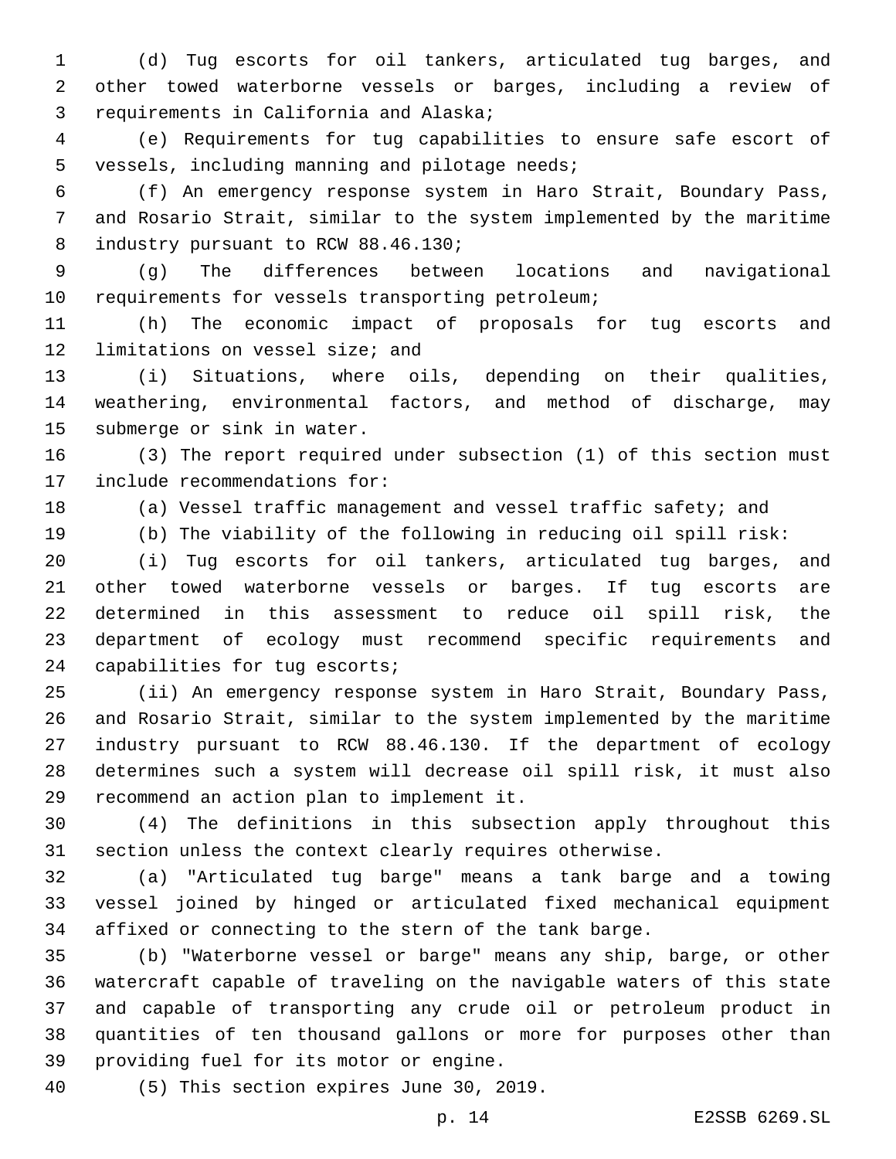(d) Tug escorts for oil tankers, articulated tug barges, and other towed waterborne vessels or barges, including a review of 3 requirements in California and Alaska;

 (e) Requirements for tug capabilities to ensure safe escort of 5 vessels, including manning and pilotage needs;

 (f) An emergency response system in Haro Strait, Boundary Pass, and Rosario Strait, similar to the system implemented by the maritime 8 industry pursuant to RCW 88.46.130;

 (g) The differences between locations and navigational 10 requirements for vessels transporting petroleum;

 (h) The economic impact of proposals for tug escorts and 12 limitations on vessel size; and

 (i) Situations, where oils, depending on their qualities, weathering, environmental factors, and method of discharge, may 15 submerge or sink in water.

 (3) The report required under subsection (1) of this section must 17 include recommendations for:

(a) Vessel traffic management and vessel traffic safety; and

(b) The viability of the following in reducing oil spill risk:

 (i) Tug escorts for oil tankers, articulated tug barges, and other towed waterborne vessels or barges. If tug escorts are determined in this assessment to reduce oil spill risk, the department of ecology must recommend specific requirements and 24 capabilities for tug escorts;

 (ii) An emergency response system in Haro Strait, Boundary Pass, and Rosario Strait, similar to the system implemented by the maritime industry pursuant to RCW 88.46.130. If the department of ecology determines such a system will decrease oil spill risk, it must also 29 recommend an action plan to implement it.

 (4) The definitions in this subsection apply throughout this section unless the context clearly requires otherwise.

 (a) "Articulated tug barge" means a tank barge and a towing vessel joined by hinged or articulated fixed mechanical equipment affixed or connecting to the stern of the tank barge.

 (b) "Waterborne vessel or barge" means any ship, barge, or other watercraft capable of traveling on the navigable waters of this state and capable of transporting any crude oil or petroleum product in quantities of ten thousand gallons or more for purposes other than 39 providing fuel for its motor or engine.

40 (5) This section expires June 30, 2019.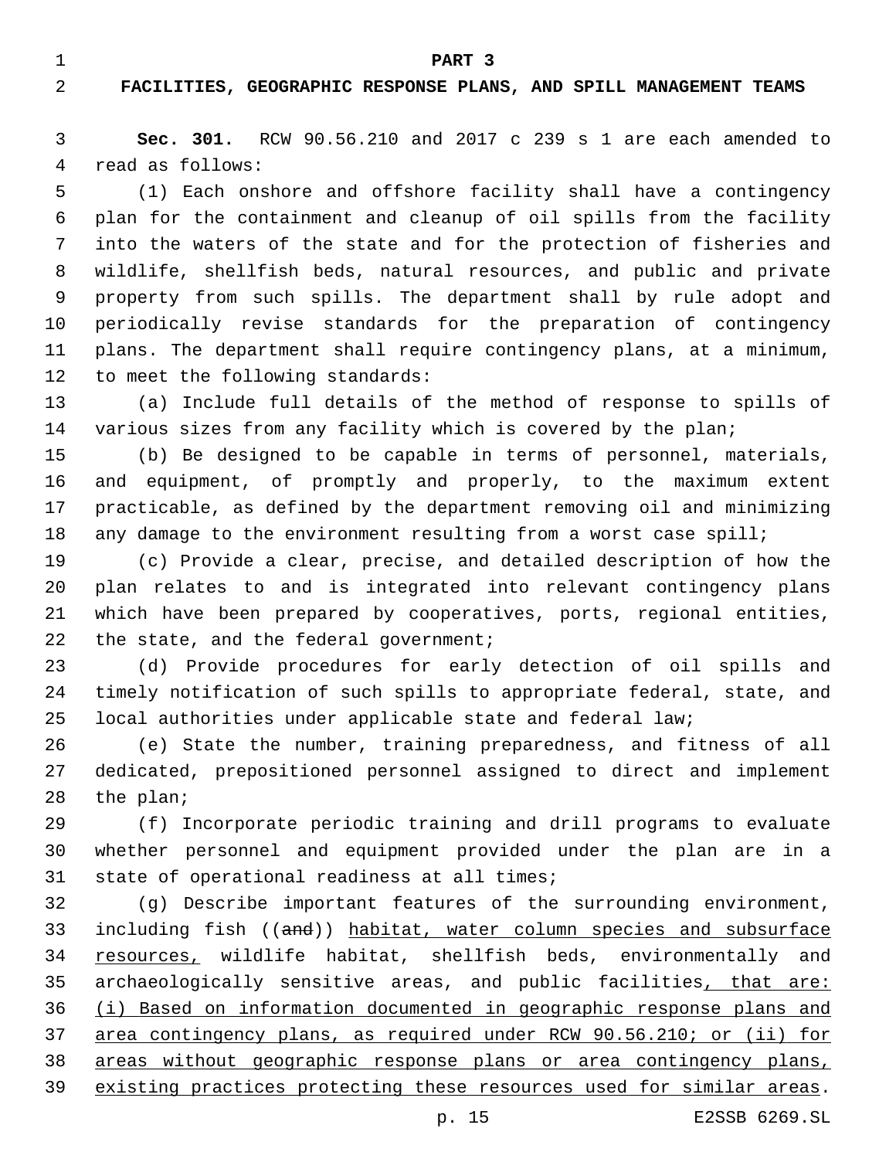#### **PART 3**

## **FACILITIES, GEOGRAPHIC RESPONSE PLANS, AND SPILL MANAGEMENT TEAMS**

 **Sec. 301.** RCW 90.56.210 and 2017 c 239 s 1 are each amended to 4 read as follows:

 (1) Each onshore and offshore facility shall have a contingency plan for the containment and cleanup of oil spills from the facility into the waters of the state and for the protection of fisheries and wildlife, shellfish beds, natural resources, and public and private property from such spills. The department shall by rule adopt and periodically revise standards for the preparation of contingency plans. The department shall require contingency plans, at a minimum, 12 to meet the following standards:

 (a) Include full details of the method of response to spills of 14 various sizes from any facility which is covered by the plan;

 (b) Be designed to be capable in terms of personnel, materials, and equipment, of promptly and properly, to the maximum extent practicable, as defined by the department removing oil and minimizing 18 any damage to the environment resulting from a worst case spill;

 (c) Provide a clear, precise, and detailed description of how the plan relates to and is integrated into relevant contingency plans which have been prepared by cooperatives, ports, regional entities, 22 the state, and the federal government;

 (d) Provide procedures for early detection of oil spills and timely notification of such spills to appropriate federal, state, and local authorities under applicable state and federal law;

 (e) State the number, training preparedness, and fitness of all dedicated, prepositioned personnel assigned to direct and implement 28 the plan;

 (f) Incorporate periodic training and drill programs to evaluate whether personnel and equipment provided under the plan are in a 31 state of operational readiness at all times;

 (g) Describe important features of the surrounding environment, including fish ((and)) habitat, water column species and subsurface 34 resources, wildlife habitat, shellfish beds, environmentally and 35 archaeologically sensitive areas, and public facilities, that are: (i) Based on information documented in geographic response plans and area contingency plans, as required under RCW 90.56.210; or (ii) for areas without geographic response plans or area contingency plans, existing practices protecting these resources used for similar areas.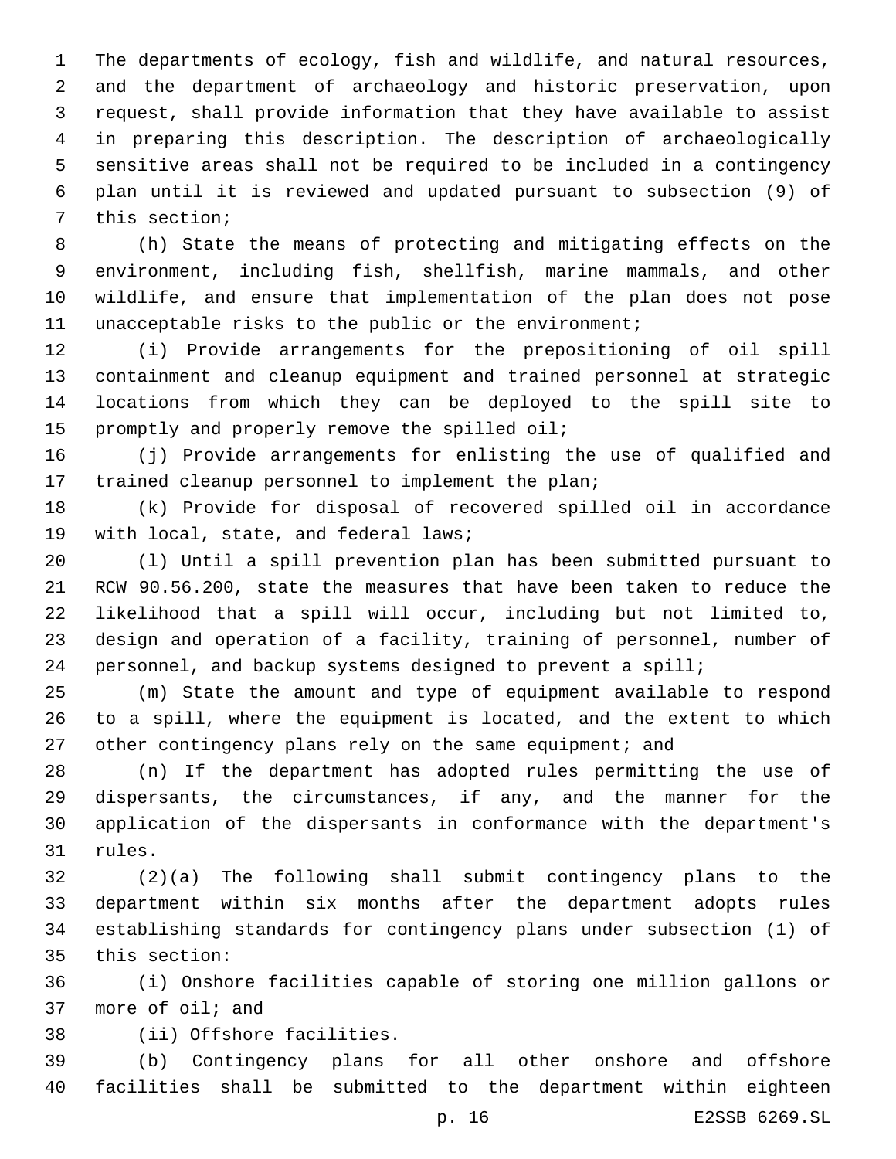The departments of ecology, fish and wildlife, and natural resources, and the department of archaeology and historic preservation, upon request, shall provide information that they have available to assist in preparing this description. The description of archaeologically sensitive areas shall not be required to be included in a contingency plan until it is reviewed and updated pursuant to subsection (9) of 7 this section;

 (h) State the means of protecting and mitigating effects on the environment, including fish, shellfish, marine mammals, and other wildlife, and ensure that implementation of the plan does not pose 11 unacceptable risks to the public or the environment;

 (i) Provide arrangements for the prepositioning of oil spill containment and cleanup equipment and trained personnel at strategic locations from which they can be deployed to the spill site to 15 promptly and properly remove the spilled oil;

 (j) Provide arrangements for enlisting the use of qualified and 17 trained cleanup personnel to implement the plan;

 (k) Provide for disposal of recovered spilled oil in accordance 19 with local, state, and federal laws;

 (l) Until a spill prevention plan has been submitted pursuant to RCW 90.56.200, state the measures that have been taken to reduce the likelihood that a spill will occur, including but not limited to, design and operation of a facility, training of personnel, number of 24 personnel, and backup systems designed to prevent a spill;

 (m) State the amount and type of equipment available to respond to a spill, where the equipment is located, and the extent to which 27 other contingency plans rely on the same equipment; and

 (n) If the department has adopted rules permitting the use of dispersants, the circumstances, if any, and the manner for the application of the dispersants in conformance with the department's 31 rules.

 (2)(a) The following shall submit contingency plans to the department within six months after the department adopts rules establishing standards for contingency plans under subsection (1) of 35 this section:

 (i) Onshore facilities capable of storing one million gallons or 37 more of oil; and

38 (ii) Offshore facilities.

 (b) Contingency plans for all other onshore and offshore facilities shall be submitted to the department within eighteen

p. 16 E2SSB 6269.SL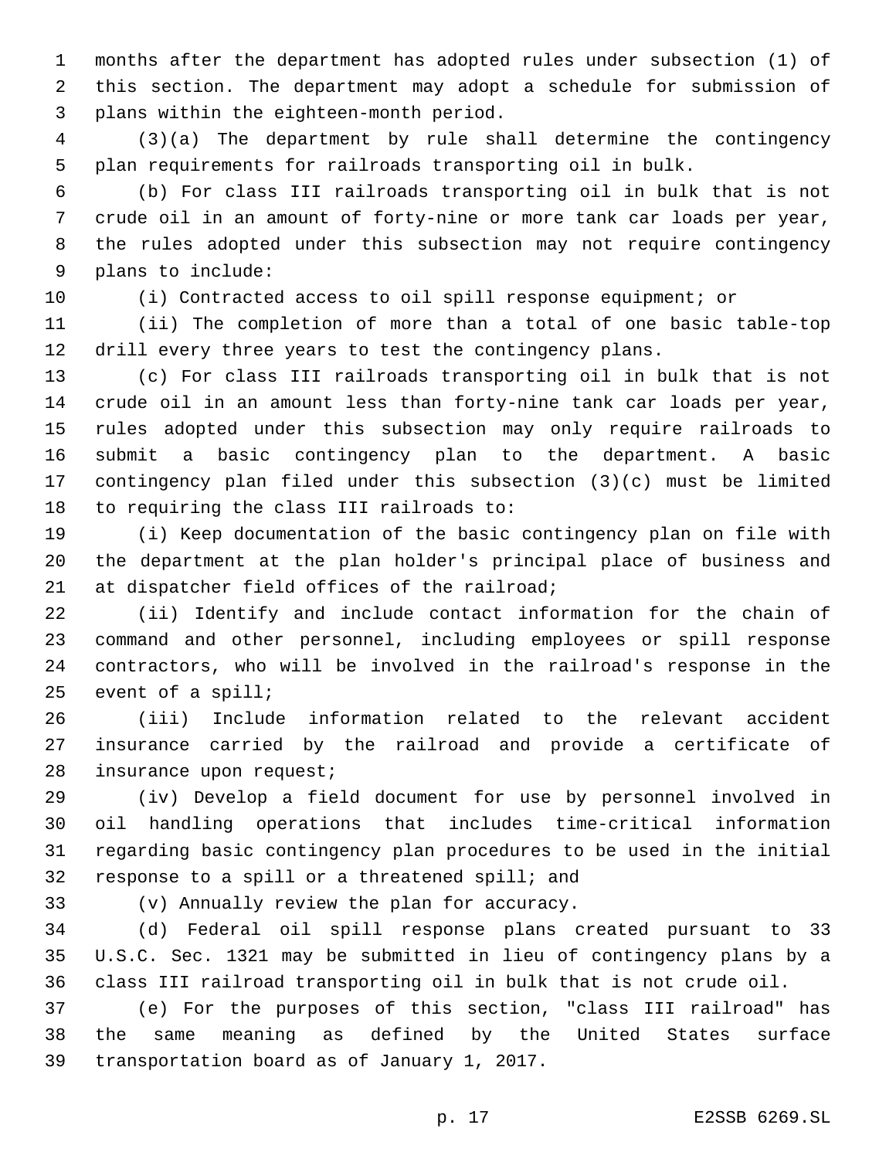months after the department has adopted rules under subsection (1) of this section. The department may adopt a schedule for submission of plans within the eighteen-month period.3

 (3)(a) The department by rule shall determine the contingency plan requirements for railroads transporting oil in bulk.

 (b) For class III railroads transporting oil in bulk that is not crude oil in an amount of forty-nine or more tank car loads per year, the rules adopted under this subsection may not require contingency 9 plans to include:

(i) Contracted access to oil spill response equipment; or

 (ii) The completion of more than a total of one basic table-top drill every three years to test the contingency plans.

 (c) For class III railroads transporting oil in bulk that is not crude oil in an amount less than forty-nine tank car loads per year, rules adopted under this subsection may only require railroads to submit a basic contingency plan to the department. A basic contingency plan filed under this subsection (3)(c) must be limited 18 to requiring the class III railroads to:

 (i) Keep documentation of the basic contingency plan on file with the department at the plan holder's principal place of business and 21 at dispatcher field offices of the railroad;

 (ii) Identify and include contact information for the chain of command and other personnel, including employees or spill response contractors, who will be involved in the railroad's response in the 25 event of a spill;

 (iii) Include information related to the relevant accident insurance carried by the railroad and provide a certificate of 28 insurance upon request;

 (iv) Develop a field document for use by personnel involved in oil handling operations that includes time-critical information regarding basic contingency plan procedures to be used in the initial 32 response to a spill or a threatened spill; and

(v) Annually review the plan for accuracy.33

 (d) Federal oil spill response plans created pursuant to 33 U.S.C. Sec. 1321 may be submitted in lieu of contingency plans by a class III railroad transporting oil in bulk that is not crude oil.

 (e) For the purposes of this section, "class III railroad" has the same meaning as defined by the United States surface 39 transportation board as of January 1, 2017.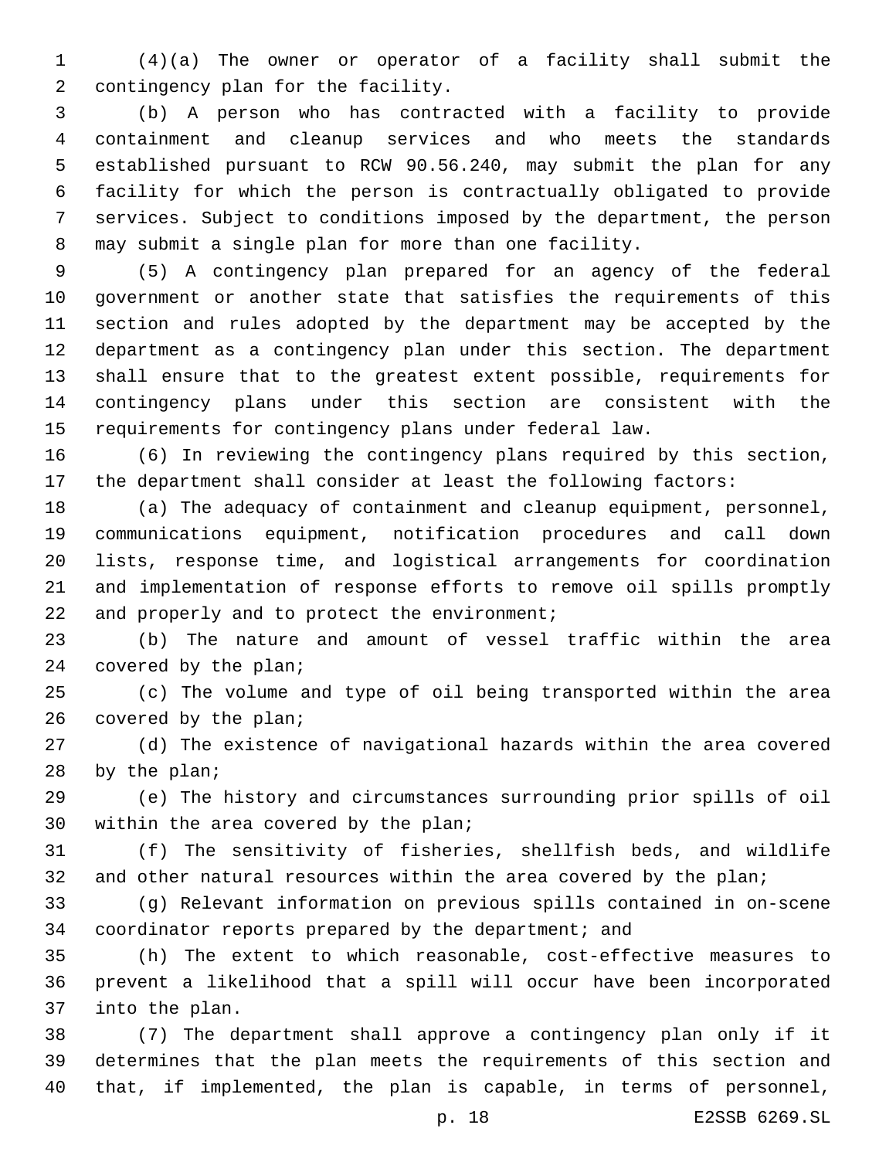(4)(a) The owner or operator of a facility shall submit the 2 contingency plan for the facility.

 (b) A person who has contracted with a facility to provide containment and cleanup services and who meets the standards established pursuant to RCW 90.56.240, may submit the plan for any facility for which the person is contractually obligated to provide services. Subject to conditions imposed by the department, the person may submit a single plan for more than one facility.

 (5) A contingency plan prepared for an agency of the federal government or another state that satisfies the requirements of this section and rules adopted by the department may be accepted by the department as a contingency plan under this section. The department shall ensure that to the greatest extent possible, requirements for contingency plans under this section are consistent with the requirements for contingency plans under federal law.

 (6) In reviewing the contingency plans required by this section, the department shall consider at least the following factors:

 (a) The adequacy of containment and cleanup equipment, personnel, communications equipment, notification procedures and call down lists, response time, and logistical arrangements for coordination and implementation of response efforts to remove oil spills promptly 22 and properly and to protect the environment;

 (b) The nature and amount of vessel traffic within the area 24 covered by the plan;

 (c) The volume and type of oil being transported within the area 26 covered by the plan;

 (d) The existence of navigational hazards within the area covered 28 by the plan;

 (e) The history and circumstances surrounding prior spills of oil 30 within the area covered by the plan;

 (f) The sensitivity of fisheries, shellfish beds, and wildlife 32 and other natural resources within the area covered by the plan;

 (g) Relevant information on previous spills contained in on-scene coordinator reports prepared by the department; and

 (h) The extent to which reasonable, cost-effective measures to prevent a likelihood that a spill will occur have been incorporated 37 into the plan.

 (7) The department shall approve a contingency plan only if it determines that the plan meets the requirements of this section and that, if implemented, the plan is capable, in terms of personnel,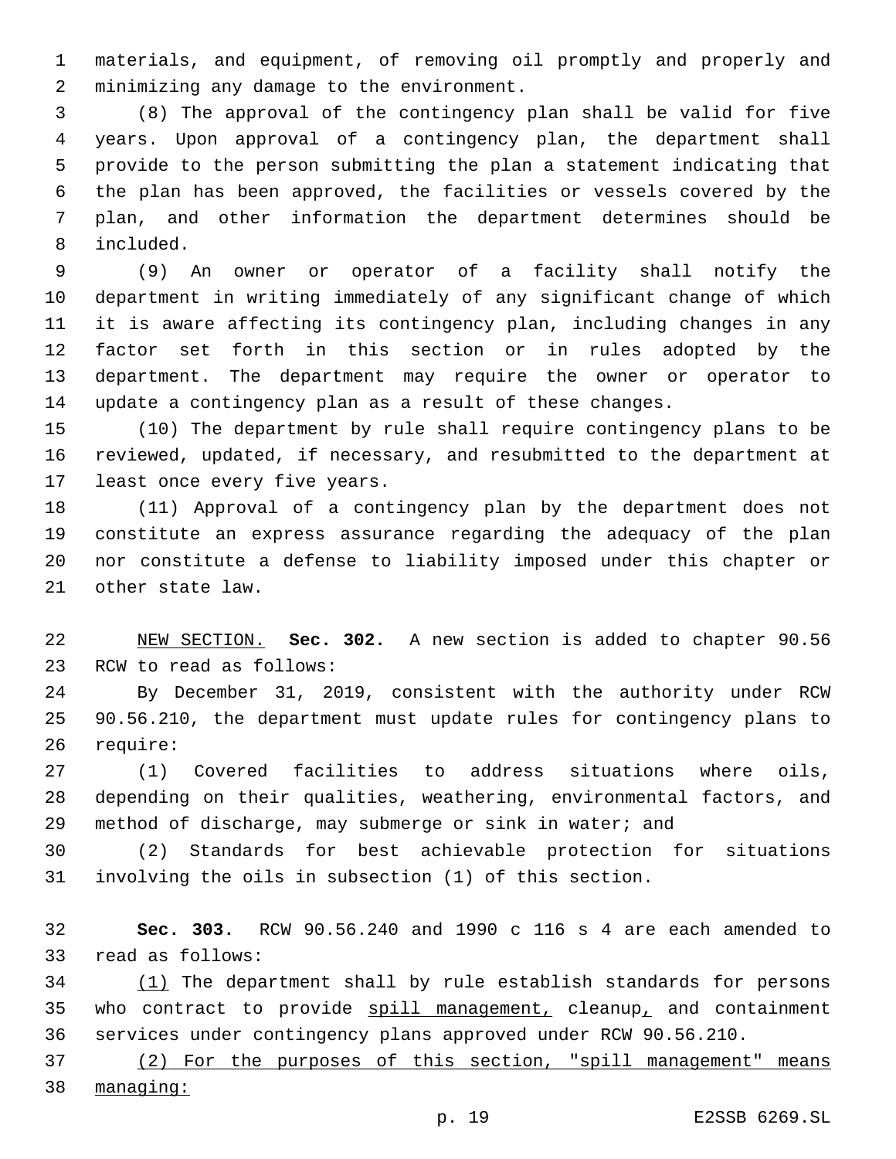materials, and equipment, of removing oil promptly and properly and 2 minimizing any damage to the environment.

 (8) The approval of the contingency plan shall be valid for five years. Upon approval of a contingency plan, the department shall provide to the person submitting the plan a statement indicating that the plan has been approved, the facilities or vessels covered by the plan, and other information the department determines should be 8 included.

 (9) An owner or operator of a facility shall notify the department in writing immediately of any significant change of which it is aware affecting its contingency plan, including changes in any factor set forth in this section or in rules adopted by the department. The department may require the owner or operator to update a contingency plan as a result of these changes.

 (10) The department by rule shall require contingency plans to be reviewed, updated, if necessary, and resubmitted to the department at 17 least once every five years.

 (11) Approval of a contingency plan by the department does not constitute an express assurance regarding the adequacy of the plan nor constitute a defense to liability imposed under this chapter or 21 other state law.

 NEW SECTION. **Sec. 302.** A new section is added to chapter 90.56 23 RCW to read as follows:

 By December 31, 2019, consistent with the authority under RCW 90.56.210, the department must update rules for contingency plans to 26 require:

 (1) Covered facilities to address situations where oils, depending on their qualities, weathering, environmental factors, and method of discharge, may submerge or sink in water; and

 (2) Standards for best achievable protection for situations involving the oils in subsection (1) of this section.

 **Sec. 303.** RCW 90.56.240 and 1990 c 116 s 4 are each amended to 33 read as follows:

 (1) The department shall by rule establish standards for persons 35 who contract to provide spill management, cleanup, and containment services under contingency plans approved under RCW 90.56.210.

 (2) For the purposes of this section, "spill management" means managing: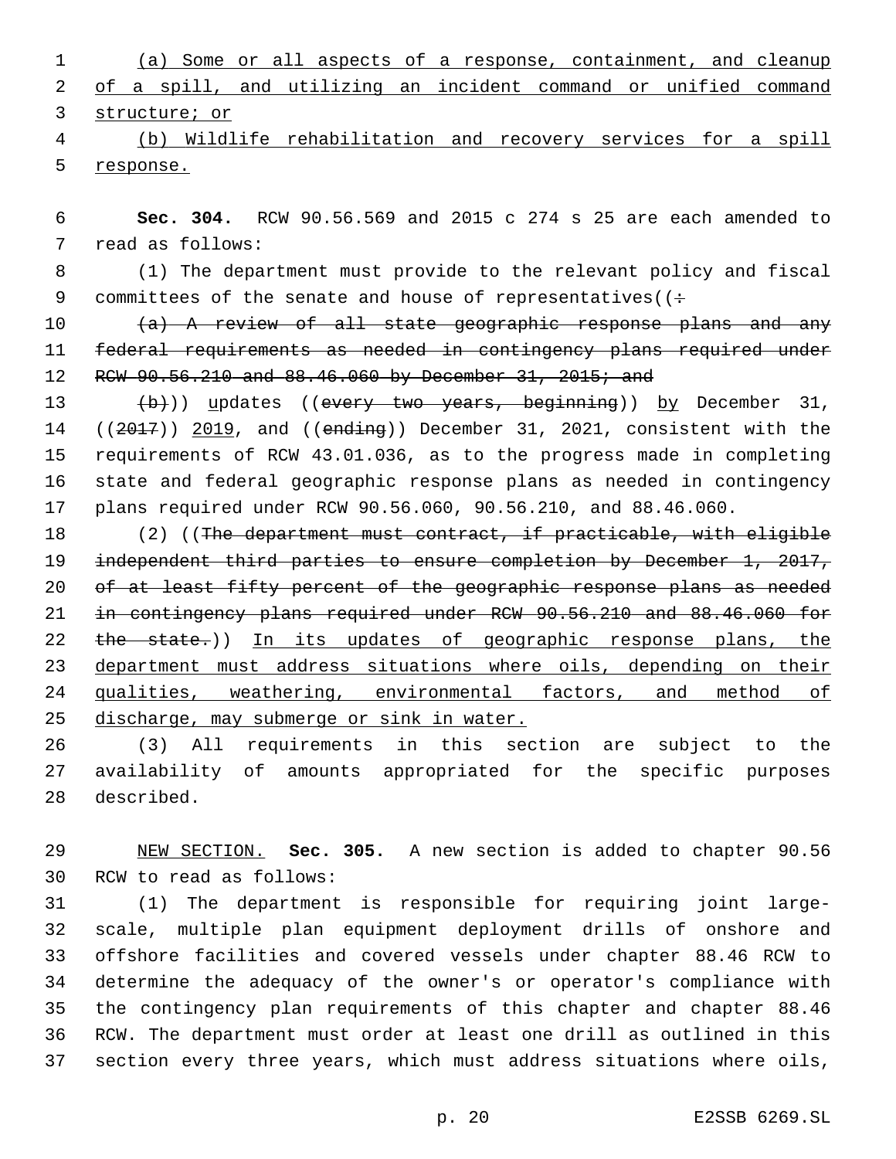(a) Some or all aspects of a response, containment, and cleanup of a spill, and utilizing an incident command or unified command structure; or

 (b) Wildlife rehabilitation and recovery services for a spill response.

 **Sec. 304.** RCW 90.56.569 and 2015 c 274 s 25 are each amended to 7 read as follows:

 (1) The department must provide to the relevant policy and fiscal 9 committees of the senate and house of representatives( $($ :

10 (a) A review of all state geographic response plans and any federal requirements as needed in contingency plans required under 12 RCW 90.56.210 and 88.46.060 by December 31, 2015; and

13 (b))) updates ((every two years, beginning)) by December 31, 14 ((2017)) 2019, and ((ending)) December 31, 2021, consistent with the requirements of RCW 43.01.036, as to the progress made in completing state and federal geographic response plans as needed in contingency plans required under RCW 90.56.060, 90.56.210, and 88.46.060.

 (2) ((The department must contract, if practicable, with eligible independent third parties to ensure completion by December 1, 2017, 20 of at least fifty percent of the geographic response plans as needed in contingency plans required under RCW 90.56.210 and 88.46.060 for 22 the state.)) In its updates of geographic response plans, the department must address situations where oils, depending on their qualities, weathering, environmental factors, and method of discharge, may submerge or sink in water.

 (3) All requirements in this section are subject to the availability of amounts appropriated for the specific purposes 28 described.

 NEW SECTION. **Sec. 305.** A new section is added to chapter 90.56 30 RCW to read as follows:

 (1) The department is responsible for requiring joint large- scale, multiple plan equipment deployment drills of onshore and offshore facilities and covered vessels under chapter 88.46 RCW to determine the adequacy of the owner's or operator's compliance with the contingency plan requirements of this chapter and chapter 88.46 RCW. The department must order at least one drill as outlined in this section every three years, which must address situations where oils,